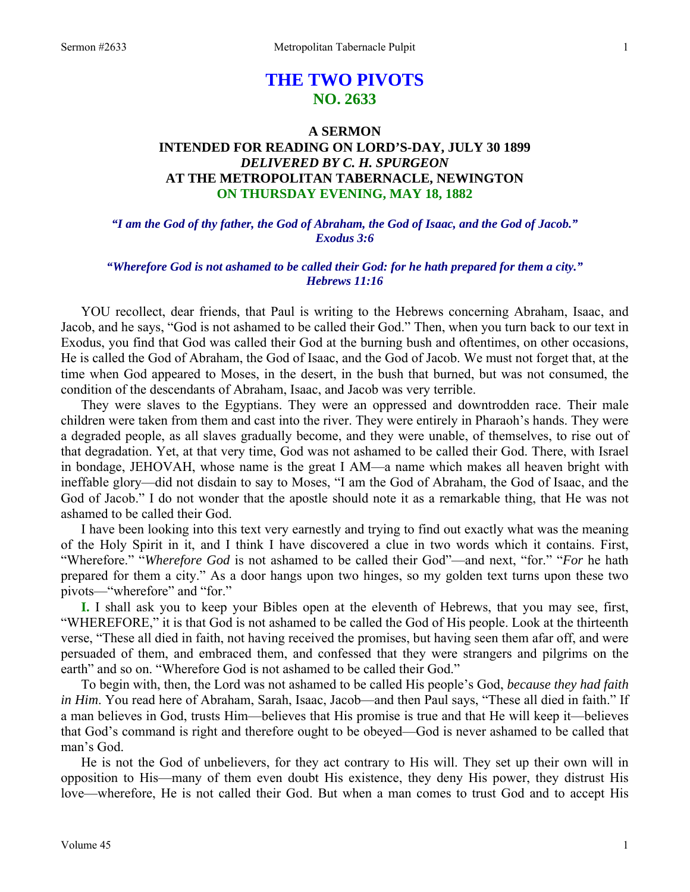# **THE TWO PIVOTS NO. 2633**

# **A SERMON INTENDED FOR READING ON LORD'S-DAY, JULY 30 1899**  *DELIVERED BY C. H. SPURGEON*  **AT THE METROPOLITAN TABERNACLE, NEWINGTON ON THURSDAY EVENING, MAY 18, 1882**

*"I am the God of thy father, the God of Abraham, the God of Isaac, and the God of Jacob." Exodus 3:6* 

# *"Wherefore God is not ashamed to be called their God: for he hath prepared for them a city." Hebrews 11:16*

YOU recollect, dear friends, that Paul is writing to the Hebrews concerning Abraham, Isaac, and Jacob, and he says, "God is not ashamed to be called their God." Then, when you turn back to our text in Exodus, you find that God was called their God at the burning bush and oftentimes, on other occasions, He is called the God of Abraham, the God of Isaac, and the God of Jacob. We must not forget that, at the time when God appeared to Moses, in the desert, in the bush that burned, but was not consumed, the condition of the descendants of Abraham, Isaac, and Jacob was very terrible.

 They were slaves to the Egyptians. They were an oppressed and downtrodden race. Their male children were taken from them and cast into the river. They were entirely in Pharaoh's hands. They were a degraded people, as all slaves gradually become, and they were unable, of themselves, to rise out of that degradation. Yet, at that very time, God was not ashamed to be called their God. There, with Israel in bondage, JEHOVAH, whose name is the great I AM—a name which makes all heaven bright with ineffable glory—did not disdain to say to Moses, "I am the God of Abraham, the God of Isaac, and the God of Jacob." I do not wonder that the apostle should note it as a remarkable thing, that He was not ashamed to be called their God.

 I have been looking into this text very earnestly and trying to find out exactly what was the meaning of the Holy Spirit in it, and I think I have discovered a clue in two words which it contains. First, "Wherefore." "*Wherefore God* is not ashamed to be called their God"—and next, "for." "*For* he hath prepared for them a city." As a door hangs upon two hinges, so my golden text turns upon these two pivots—"wherefore" and "for."

**I.** I shall ask you to keep your Bibles open at the eleventh of Hebrews, that you may see, first, "WHEREFORE," it is that God is not ashamed to be called the God of His people. Look at the thirteenth verse, "These all died in faith, not having received the promises, but having seen them afar off, and were persuaded of them, and embraced them, and confessed that they were strangers and pilgrims on the earth" and so on. "Wherefore God is not ashamed to be called their God."

 To begin with, then, the Lord was not ashamed to be called His people's God, *because they had faith in Him*. You read here of Abraham, Sarah, Isaac, Jacob—and then Paul says, "These all died in faith." If a man believes in God, trusts Him—believes that His promise is true and that He will keep it—believes that God's command is right and therefore ought to be obeyed—God is never ashamed to be called that man's God.

 He is not the God of unbelievers, for they act contrary to His will. They set up their own will in opposition to His—many of them even doubt His existence, they deny His power, they distrust His love—wherefore, He is not called their God. But when a man comes to trust God and to accept His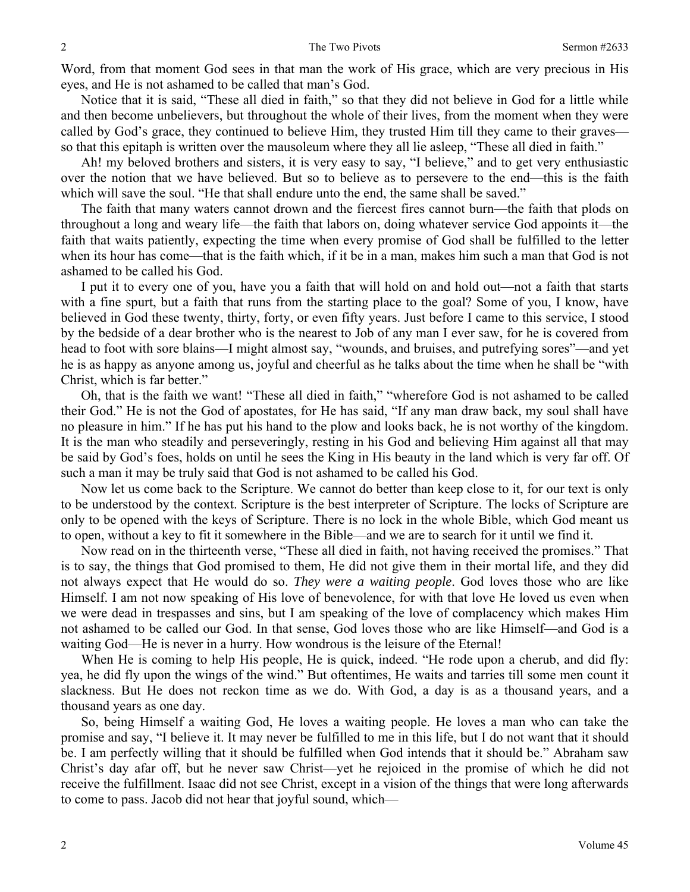Word, from that moment God sees in that man the work of His grace, which are very precious in His eyes, and He is not ashamed to be called that man's God.

 Notice that it is said, "These all died in faith," so that they did not believe in God for a little while and then become unbelievers, but throughout the whole of their lives, from the moment when they were called by God's grace, they continued to believe Him, they trusted Him till they came to their graves so that this epitaph is written over the mausoleum where they all lie asleep, "These all died in faith."

 Ah! my beloved brothers and sisters, it is very easy to say, "I believe," and to get very enthusiastic over the notion that we have believed. But so to believe as to persevere to the end—this is the faith which will save the soul. "He that shall endure unto the end, the same shall be saved."

 The faith that many waters cannot drown and the fiercest fires cannot burn—the faith that plods on throughout a long and weary life—the faith that labors on, doing whatever service God appoints it—the faith that waits patiently, expecting the time when every promise of God shall be fulfilled to the letter when its hour has come—that is the faith which, if it be in a man, makes him such a man that God is not ashamed to be called his God.

 I put it to every one of you, have you a faith that will hold on and hold out—not a faith that starts with a fine spurt, but a faith that runs from the starting place to the goal? Some of you, I know, have believed in God these twenty, thirty, forty, or even fifty years. Just before I came to this service, I stood by the bedside of a dear brother who is the nearest to Job of any man I ever saw, for he is covered from head to foot with sore blains—I might almost say, "wounds, and bruises, and putrefying sores"—and yet he is as happy as anyone among us, joyful and cheerful as he talks about the time when he shall be "with Christ, which is far better."

 Oh, that is the faith we want! "These all died in faith," "wherefore God is not ashamed to be called their God." He is not the God of apostates, for He has said, "If any man draw back, my soul shall have no pleasure in him." If he has put his hand to the plow and looks back, he is not worthy of the kingdom. It is the man who steadily and perseveringly, resting in his God and believing Him against all that may be said by God's foes, holds on until he sees the King in His beauty in the land which is very far off. Of such a man it may be truly said that God is not ashamed to be called his God.

 Now let us come back to the Scripture. We cannot do better than keep close to it, for our text is only to be understood by the context. Scripture is the best interpreter of Scripture. The locks of Scripture are only to be opened with the keys of Scripture. There is no lock in the whole Bible, which God meant us to open, without a key to fit it somewhere in the Bible—and we are to search for it until we find it.

 Now read on in the thirteenth verse, "These all died in faith, not having received the promises." That is to say, the things that God promised to them, He did not give them in their mortal life, and they did not always expect that He would do so. *They were a waiting people*. God loves those who are like Himself. I am not now speaking of His love of benevolence, for with that love He loved us even when we were dead in trespasses and sins, but I am speaking of the love of complacency which makes Him not ashamed to be called our God. In that sense, God loves those who are like Himself—and God is a waiting God—He is never in a hurry. How wondrous is the leisure of the Eternal!

 When He is coming to help His people, He is quick, indeed. "He rode upon a cherub, and did fly: yea, he did fly upon the wings of the wind." But oftentimes, He waits and tarries till some men count it slackness. But He does not reckon time as we do. With God, a day is as a thousand years, and a thousand years as one day.

 So, being Himself a waiting God, He loves a waiting people. He loves a man who can take the promise and say, "I believe it. It may never be fulfilled to me in this life, but I do not want that it should be. I am perfectly willing that it should be fulfilled when God intends that it should be." Abraham saw Christ's day afar off, but he never saw Christ—yet he rejoiced in the promise of which he did not receive the fulfillment. Isaac did not see Christ, except in a vision of the things that were long afterwards to come to pass. Jacob did not hear that joyful sound, which—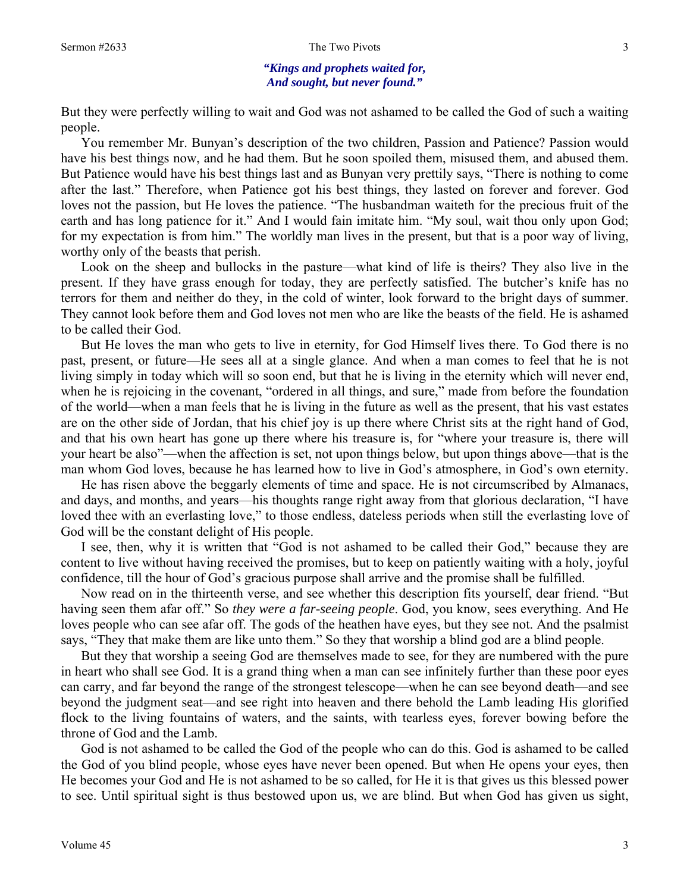#### Sermon #2633 The Two Pivots 3

#### *"Kings and prophets waited for, And sought, but never found."*

But they were perfectly willing to wait and God was not ashamed to be called the God of such a waiting people.

 You remember Mr. Bunyan's description of the two children, Passion and Patience? Passion would have his best things now, and he had them. But he soon spoiled them, misused them, and abused them. But Patience would have his best things last and as Bunyan very prettily says, "There is nothing to come after the last." Therefore, when Patience got his best things, they lasted on forever and forever. God loves not the passion, but He loves the patience. "The husbandman waiteth for the precious fruit of the earth and has long patience for it." And I would fain imitate him. "My soul, wait thou only upon God; for my expectation is from him." The worldly man lives in the present, but that is a poor way of living, worthy only of the beasts that perish.

 Look on the sheep and bullocks in the pasture—what kind of life is theirs? They also live in the present. If they have grass enough for today, they are perfectly satisfied. The butcher's knife has no terrors for them and neither do they, in the cold of winter, look forward to the bright days of summer. They cannot look before them and God loves not men who are like the beasts of the field. He is ashamed to be called their God.

 But He loves the man who gets to live in eternity, for God Himself lives there. To God there is no past, present, or future—He sees all at a single glance. And when a man comes to feel that he is not living simply in today which will so soon end, but that he is living in the eternity which will never end, when he is rejoicing in the covenant, "ordered in all things, and sure," made from before the foundation of the world—when a man feels that he is living in the future as well as the present, that his vast estates are on the other side of Jordan, that his chief joy is up there where Christ sits at the right hand of God, and that his own heart has gone up there where his treasure is, for "where your treasure is, there will your heart be also"—when the affection is set, not upon things below, but upon things above—that is the man whom God loves, because he has learned how to live in God's atmosphere, in God's own eternity.

 He has risen above the beggarly elements of time and space. He is not circumscribed by Almanacs, and days, and months, and years—his thoughts range right away from that glorious declaration, "I have loved thee with an everlasting love," to those endless, dateless periods when still the everlasting love of God will be the constant delight of His people.

 I see, then, why it is written that "God is not ashamed to be called their God," because they are content to live without having received the promises, but to keep on patiently waiting with a holy, joyful confidence, till the hour of God's gracious purpose shall arrive and the promise shall be fulfilled.

 Now read on in the thirteenth verse, and see whether this description fits yourself, dear friend. "But having seen them afar off." So *they were a far-seeing people*. God, you know, sees everything. And He loves people who can see afar off. The gods of the heathen have eyes, but they see not. And the psalmist says, "They that make them are like unto them." So they that worship a blind god are a blind people.

 But they that worship a seeing God are themselves made to see, for they are numbered with the pure in heart who shall see God. It is a grand thing when a man can see infinitely further than these poor eyes can carry, and far beyond the range of the strongest telescope—when he can see beyond death—and see beyond the judgment seat—and see right into heaven and there behold the Lamb leading His glorified flock to the living fountains of waters, and the saints, with tearless eyes, forever bowing before the throne of God and the Lamb.

 God is not ashamed to be called the God of the people who can do this. God is ashamed to be called the God of you blind people, whose eyes have never been opened. But when He opens your eyes, then He becomes your God and He is not ashamed to be so called, for He it is that gives us this blessed power to see. Until spiritual sight is thus bestowed upon us, we are blind. But when God has given us sight,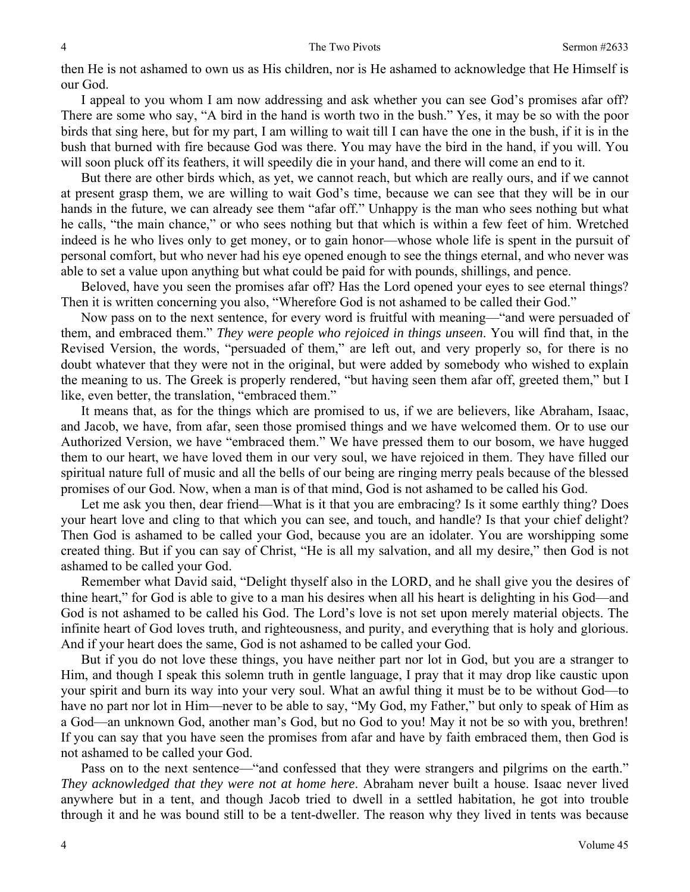then He is not ashamed to own us as His children, nor is He ashamed to acknowledge that He Himself is our God.

 I appeal to you whom I am now addressing and ask whether you can see God's promises afar off? There are some who say, "A bird in the hand is worth two in the bush." Yes, it may be so with the poor birds that sing here, but for my part, I am willing to wait till I can have the one in the bush, if it is in the bush that burned with fire because God was there. You may have the bird in the hand, if you will. You will soon pluck off its feathers, it will speedily die in your hand, and there will come an end to it.

 But there are other birds which, as yet, we cannot reach, but which are really ours, and if we cannot at present grasp them, we are willing to wait God's time, because we can see that they will be in our hands in the future, we can already see them "afar off." Unhappy is the man who sees nothing but what he calls, "the main chance," or who sees nothing but that which is within a few feet of him. Wretched indeed is he who lives only to get money, or to gain honor—whose whole life is spent in the pursuit of personal comfort, but who never had his eye opened enough to see the things eternal, and who never was able to set a value upon anything but what could be paid for with pounds, shillings, and pence.

 Beloved, have you seen the promises afar off? Has the Lord opened your eyes to see eternal things? Then it is written concerning you also, "Wherefore God is not ashamed to be called their God."

 Now pass on to the next sentence, for every word is fruitful with meaning—"and were persuaded of them, and embraced them." *They were people who rejoiced in things unseen*. You will find that, in the Revised Version, the words, "persuaded of them," are left out, and very properly so, for there is no doubt whatever that they were not in the original, but were added by somebody who wished to explain the meaning to us. The Greek is properly rendered, "but having seen them afar off, greeted them," but I like, even better, the translation, "embraced them."

 It means that, as for the things which are promised to us, if we are believers, like Abraham, Isaac, and Jacob, we have, from afar, seen those promised things and we have welcomed them. Or to use our Authorized Version, we have "embraced them." We have pressed them to our bosom, we have hugged them to our heart, we have loved them in our very soul, we have rejoiced in them. They have filled our spiritual nature full of music and all the bells of our being are ringing merry peals because of the blessed promises of our God. Now, when a man is of that mind, God is not ashamed to be called his God.

Let me ask you then, dear friend—What is it that you are embracing? Is it some earthly thing? Does your heart love and cling to that which you can see, and touch, and handle? Is that your chief delight? Then God is ashamed to be called your God, because you are an idolater. You are worshipping some created thing. But if you can say of Christ, "He is all my salvation, and all my desire," then God is not ashamed to be called your God.

 Remember what David said, "Delight thyself also in the LORD, and he shall give you the desires of thine heart," for God is able to give to a man his desires when all his heart is delighting in his God—and God is not ashamed to be called his God. The Lord's love is not set upon merely material objects. The infinite heart of God loves truth, and righteousness, and purity, and everything that is holy and glorious. And if your heart does the same, God is not ashamed to be called your God.

 But if you do not love these things, you have neither part nor lot in God, but you are a stranger to Him, and though I speak this solemn truth in gentle language, I pray that it may drop like caustic upon your spirit and burn its way into your very soul. What an awful thing it must be to be without God—to have no part nor lot in Him—never to be able to say, "My God, my Father," but only to speak of Him as a God—an unknown God, another man's God, but no God to you! May it not be so with you, brethren! If you can say that you have seen the promises from afar and have by faith embraced them, then God is not ashamed to be called your God.

 Pass on to the next sentence—"and confessed that they were strangers and pilgrims on the earth." *They acknowledged that they were not at home here*. Abraham never built a house. Isaac never lived anywhere but in a tent, and though Jacob tried to dwell in a settled habitation, he got into trouble through it and he was bound still to be a tent-dweller. The reason why they lived in tents was because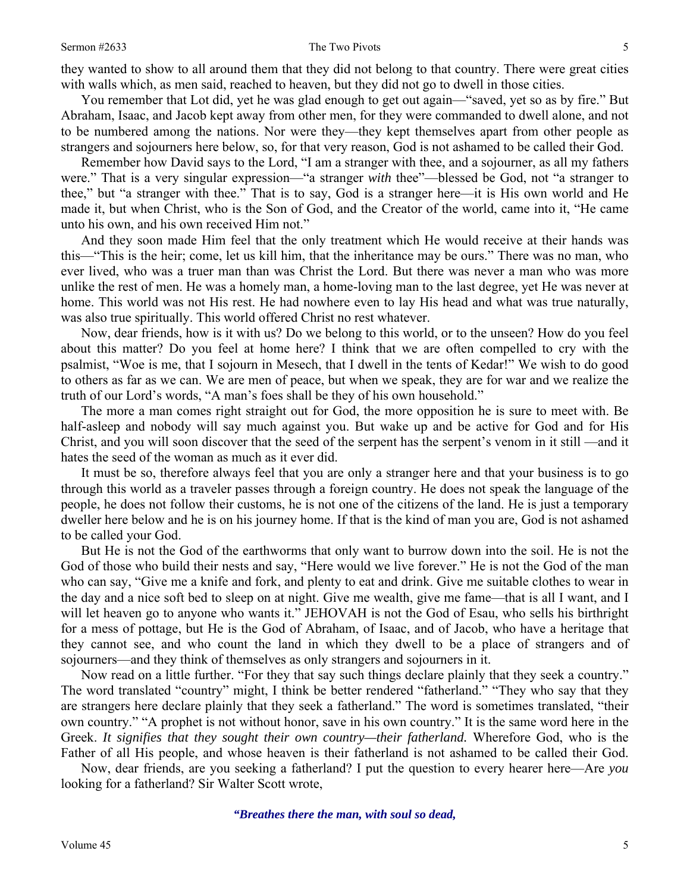they wanted to show to all around them that they did not belong to that country. There were great cities with walls which, as men said, reached to heaven, but they did not go to dwell in those cities.

 You remember that Lot did, yet he was glad enough to get out again—"saved, yet so as by fire." But Abraham, Isaac, and Jacob kept away from other men, for they were commanded to dwell alone, and not to be numbered among the nations. Nor were they—they kept themselves apart from other people as strangers and sojourners here below, so, for that very reason, God is not ashamed to be called their God.

 Remember how David says to the Lord, "I am a stranger with thee, and a sojourner, as all my fathers were." That is a very singular expression—"a stranger *with* thee"—blessed be God, not "a stranger to thee," but "a stranger with thee." That is to say, God is a stranger here—it is His own world and He made it, but when Christ, who is the Son of God, and the Creator of the world, came into it, "He came unto his own, and his own received Him not."

 And they soon made Him feel that the only treatment which He would receive at their hands was this—"This is the heir; come, let us kill him, that the inheritance may be ours." There was no man, who ever lived, who was a truer man than was Christ the Lord. But there was never a man who was more unlike the rest of men. He was a homely man, a home-loving man to the last degree, yet He was never at home. This world was not His rest. He had nowhere even to lay His head and what was true naturally, was also true spiritually. This world offered Christ no rest whatever.

 Now, dear friends, how is it with us? Do we belong to this world, or to the unseen? How do you feel about this matter? Do you feel at home here? I think that we are often compelled to cry with the psalmist, "Woe is me, that I sojourn in Mesech, that I dwell in the tents of Kedar!" We wish to do good to others as far as we can. We are men of peace, but when we speak, they are for war and we realize the truth of our Lord's words, "A man's foes shall be they of his own household."

 The more a man comes right straight out for God, the more opposition he is sure to meet with. Be half-asleep and nobody will say much against you. But wake up and be active for God and for His Christ, and you will soon discover that the seed of the serpent has the serpent's venom in it still —and it hates the seed of the woman as much as it ever did.

 It must be so, therefore always feel that you are only a stranger here and that your business is to go through this world as a traveler passes through a foreign country. He does not speak the language of the people, he does not follow their customs, he is not one of the citizens of the land. He is just a temporary dweller here below and he is on his journey home. If that is the kind of man you are, God is not ashamed to be called your God.

 But He is not the God of the earthworms that only want to burrow down into the soil. He is not the God of those who build their nests and say, "Here would we live forever." He is not the God of the man who can say, "Give me a knife and fork, and plenty to eat and drink. Give me suitable clothes to wear in the day and a nice soft bed to sleep on at night. Give me wealth, give me fame—that is all I want, and I will let heaven go to anyone who wants it." JEHOVAH is not the God of Esau, who sells his birthright for a mess of pottage, but He is the God of Abraham, of Isaac, and of Jacob, who have a heritage that they cannot see, and who count the land in which they dwell to be a place of strangers and of sojourners—and they think of themselves as only strangers and sojourners in it.

 Now read on a little further. "For they that say such things declare plainly that they seek a country." The word translated "country" might, I think be better rendered "fatherland." "They who say that they are strangers here declare plainly that they seek a fatherland." The word is sometimes translated, "their own country." "A prophet is not without honor, save in his own country." It is the same word here in the Greek. *It signifies that they sought their own country—their fatherland.* Wherefore God, who is the Father of all His people, and whose heaven is their fatherland is not ashamed to be called their God.

 Now, dear friends, are you seeking a fatherland? I put the question to every hearer here—Are *you*  looking for a fatherland? Sir Walter Scott wrote,

*"Breathes there the man, with soul so dead,*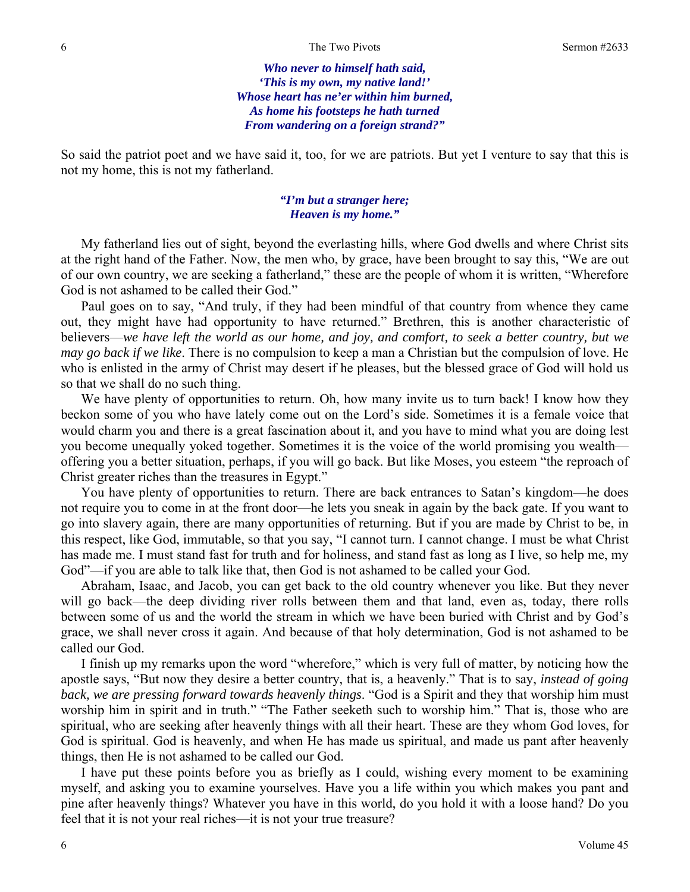*Who never to himself hath said, 'This is my own, my native land!' Whose heart has ne'er within him burned, As home his footsteps he hath turned From wandering on a foreign strand?"* 

So said the patriot poet and we have said it, too, for we are patriots. But yet I venture to say that this is not my home, this is not my fatherland.

### *"I'm but a stranger here; Heaven is my home."*

 My fatherland lies out of sight, beyond the everlasting hills, where God dwells and where Christ sits at the right hand of the Father. Now, the men who, by grace, have been brought to say this, "We are out of our own country, we are seeking a fatherland," these are the people of whom it is written, "Wherefore God is not ashamed to be called their God."

 Paul goes on to say, "And truly, if they had been mindful of that country from whence they came out, they might have had opportunity to have returned." Brethren, this is another characteristic of believers—*we have left the world as our home, and joy, and comfort, to seek a better country, but we may go back if we like*. There is no compulsion to keep a man a Christian but the compulsion of love. He who is enlisted in the army of Christ may desert if he pleases, but the blessed grace of God will hold us so that we shall do no such thing.

 We have plenty of opportunities to return. Oh, how many invite us to turn back! I know how they beckon some of you who have lately come out on the Lord's side. Sometimes it is a female voice that would charm you and there is a great fascination about it, and you have to mind what you are doing lest you become unequally yoked together. Sometimes it is the voice of the world promising you wealth offering you a better situation, perhaps, if you will go back. But like Moses, you esteem "the reproach of Christ greater riches than the treasures in Egypt."

 You have plenty of opportunities to return. There are back entrances to Satan's kingdom—he does not require you to come in at the front door—he lets you sneak in again by the back gate. If you want to go into slavery again, there are many opportunities of returning. But if you are made by Christ to be, in this respect, like God, immutable, so that you say, "I cannot turn. I cannot change. I must be what Christ has made me. I must stand fast for truth and for holiness, and stand fast as long as I live, so help me, my God"—if you are able to talk like that, then God is not ashamed to be called your God.

 Abraham, Isaac, and Jacob, you can get back to the old country whenever you like. But they never will go back—the deep dividing river rolls between them and that land, even as, today, there rolls between some of us and the world the stream in which we have been buried with Christ and by God's grace, we shall never cross it again. And because of that holy determination, God is not ashamed to be called our God.

 I finish up my remarks upon the word "wherefore," which is very full of matter, by noticing how the apostle says, "But now they desire a better country, that is, a heavenly." That is to say, *instead of going back, we are pressing forward towards heavenly things*. "God is a Spirit and they that worship him must worship him in spirit and in truth." "The Father seeketh such to worship him." That is, those who are spiritual, who are seeking after heavenly things with all their heart. These are they whom God loves, for God is spiritual. God is heavenly, and when He has made us spiritual, and made us pant after heavenly things, then He is not ashamed to be called our God.

 I have put these points before you as briefly as I could, wishing every moment to be examining myself, and asking you to examine yourselves. Have you a life within you which makes you pant and pine after heavenly things? Whatever you have in this world, do you hold it with a loose hand? Do you feel that it is not your real riches—it is not your true treasure?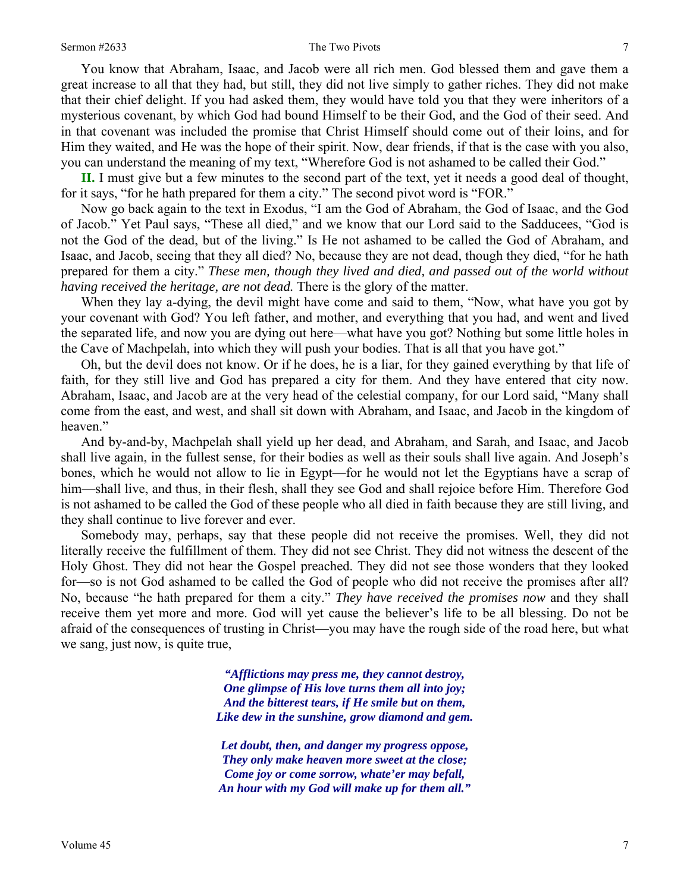You know that Abraham, Isaac, and Jacob were all rich men. God blessed them and gave them a great increase to all that they had, but still, they did not live simply to gather riches. They did not make that their chief delight. If you had asked them, they would have told you that they were inheritors of a mysterious covenant, by which God had bound Himself to be their God, and the God of their seed. And in that covenant was included the promise that Christ Himself should come out of their loins, and for Him they waited, and He was the hope of their spirit. Now, dear friends, if that is the case with you also, you can understand the meaning of my text, "Wherefore God is not ashamed to be called their God."

**II.** I must give but a few minutes to the second part of the text, yet it needs a good deal of thought, for it says, "for he hath prepared for them a city." The second pivot word is "FOR."

 Now go back again to the text in Exodus, "I am the God of Abraham, the God of Isaac, and the God of Jacob." Yet Paul says, "These all died," and we know that our Lord said to the Sadducees, "God is not the God of the dead, but of the living." Is He not ashamed to be called the God of Abraham, and Isaac, and Jacob, seeing that they all died? No, because they are not dead, though they died, "for he hath prepared for them a city." *These men, though they lived and died, and passed out of the world without having received the heritage, are not dead.* There is the glory of the matter.

 When they lay a-dying, the devil might have come and said to them, "Now, what have you got by your covenant with God? You left father, and mother, and everything that you had, and went and lived the separated life, and now you are dying out here—what have you got? Nothing but some little holes in the Cave of Machpelah, into which they will push your bodies. That is all that you have got."

 Oh, but the devil does not know. Or if he does, he is a liar, for they gained everything by that life of faith, for they still live and God has prepared a city for them. And they have entered that city now. Abraham, Isaac, and Jacob are at the very head of the celestial company, for our Lord said, "Many shall come from the east, and west, and shall sit down with Abraham, and Isaac, and Jacob in the kingdom of heaven."

 And by-and-by, Machpelah shall yield up her dead, and Abraham, and Sarah, and Isaac, and Jacob shall live again, in the fullest sense, for their bodies as well as their souls shall live again. And Joseph's bones, which he would not allow to lie in Egypt—for he would not let the Egyptians have a scrap of him—shall live, and thus, in their flesh, shall they see God and shall rejoice before Him. Therefore God is not ashamed to be called the God of these people who all died in faith because they are still living, and they shall continue to live forever and ever.

 Somebody may, perhaps, say that these people did not receive the promises. Well, they did not literally receive the fulfillment of them. They did not see Christ. They did not witness the descent of the Holy Ghost. They did not hear the Gospel preached. They did not see those wonders that they looked for—so is not God ashamed to be called the God of people who did not receive the promises after all? No, because "he hath prepared for them a city." *They have received the promises now* and they shall receive them yet more and more. God will yet cause the believer's life to be all blessing. Do not be afraid of the consequences of trusting in Christ—you may have the rough side of the road here, but what we sang, just now, is quite true,

> *"Afflictions may press me, they cannot destroy, One glimpse of His love turns them all into joy; And the bitterest tears, if He smile but on them, Like dew in the sunshine, grow diamond and gem.*

> *Let doubt, then, and danger my progress oppose, They only make heaven more sweet at the close; Come joy or come sorrow, whate'er may befall, An hour with my God will make up for them all."*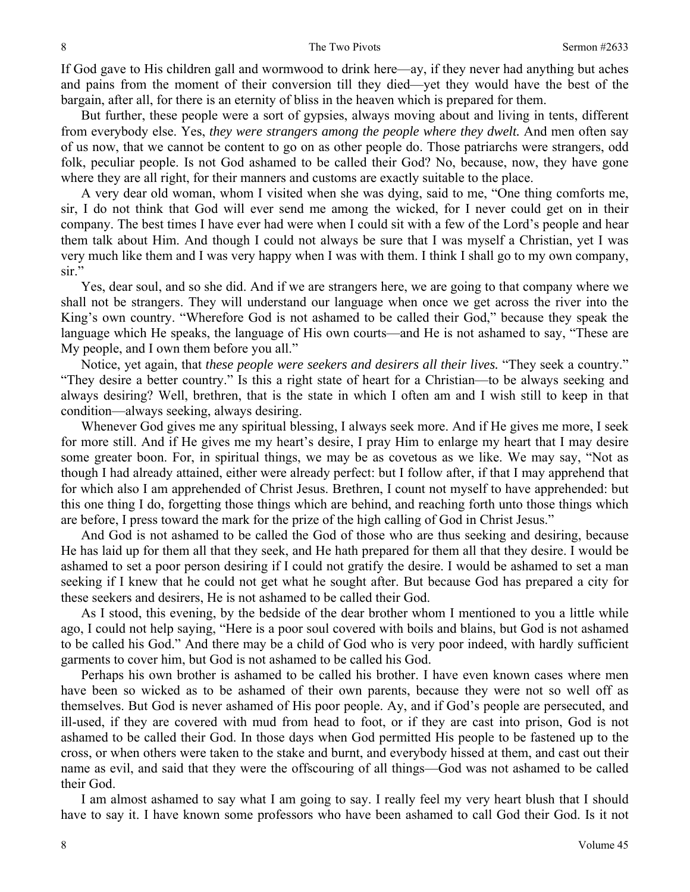If God gave to His children gall and wormwood to drink here—ay, if they never had anything but aches and pains from the moment of their conversion till they died—yet they would have the best of the bargain, after all, for there is an eternity of bliss in the heaven which is prepared for them.

 But further, these people were a sort of gypsies, always moving about and living in tents, different from everybody else. Yes, *they were strangers among the people where they dwelt.* And men often say of us now, that we cannot be content to go on as other people do. Those patriarchs were strangers, odd folk, peculiar people. Is not God ashamed to be called their God? No, because, now, they have gone where they are all right, for their manners and customs are exactly suitable to the place.

 A very dear old woman, whom I visited when she was dying, said to me, "One thing comforts me, sir, I do not think that God will ever send me among the wicked, for I never could get on in their company. The best times I have ever had were when I could sit with a few of the Lord's people and hear them talk about Him. And though I could not always be sure that I was myself a Christian, yet I was very much like them and I was very happy when I was with them. I think I shall go to my own company, sir."

 Yes, dear soul, and so she did. And if we are strangers here, we are going to that company where we shall not be strangers. They will understand our language when once we get across the river into the King's own country. "Wherefore God is not ashamed to be called their God," because they speak the language which He speaks, the language of His own courts—and He is not ashamed to say, "These are My people, and I own them before you all."

 Notice, yet again, that *these people were seekers and desirers all their lives.* "They seek a country." "They desire a better country." Is this a right state of heart for a Christian—to be always seeking and always desiring? Well, brethren, that is the state in which I often am and I wish still to keep in that condition—always seeking, always desiring.

 Whenever God gives me any spiritual blessing, I always seek more. And if He gives me more, I seek for more still. And if He gives me my heart's desire, I pray Him to enlarge my heart that I may desire some greater boon. For, in spiritual things, we may be as covetous as we like. We may say, "Not as though I had already attained, either were already perfect: but I follow after, if that I may apprehend that for which also I am apprehended of Christ Jesus. Brethren, I count not myself to have apprehended: but this one thing I do, forgetting those things which are behind, and reaching forth unto those things which are before, I press toward the mark for the prize of the high calling of God in Christ Jesus."

 And God is not ashamed to be called the God of those who are thus seeking and desiring, because He has laid up for them all that they seek, and He hath prepared for them all that they desire. I would be ashamed to set a poor person desiring if I could not gratify the desire. I would be ashamed to set a man seeking if I knew that he could not get what he sought after. But because God has prepared a city for these seekers and desirers, He is not ashamed to be called their God.

 As I stood, this evening, by the bedside of the dear brother whom I mentioned to you a little while ago, I could not help saying, "Here is a poor soul covered with boils and blains, but God is not ashamed to be called his God." And there may be a child of God who is very poor indeed, with hardly sufficient garments to cover him, but God is not ashamed to be called his God.

 Perhaps his own brother is ashamed to be called his brother. I have even known cases where men have been so wicked as to be ashamed of their own parents, because they were not so well off as themselves. But God is never ashamed of His poor people. Ay, and if God's people are persecuted, and ill-used, if they are covered with mud from head to foot, or if they are cast into prison, God is not ashamed to be called their God. In those days when God permitted His people to be fastened up to the cross, or when others were taken to the stake and burnt, and everybody hissed at them, and cast out their name as evil, and said that they were the offscouring of all things—God was not ashamed to be called their God.

 I am almost ashamed to say what I am going to say. I really feel my very heart blush that I should have to say it. I have known some professors who have been ashamed to call God their God. Is it not